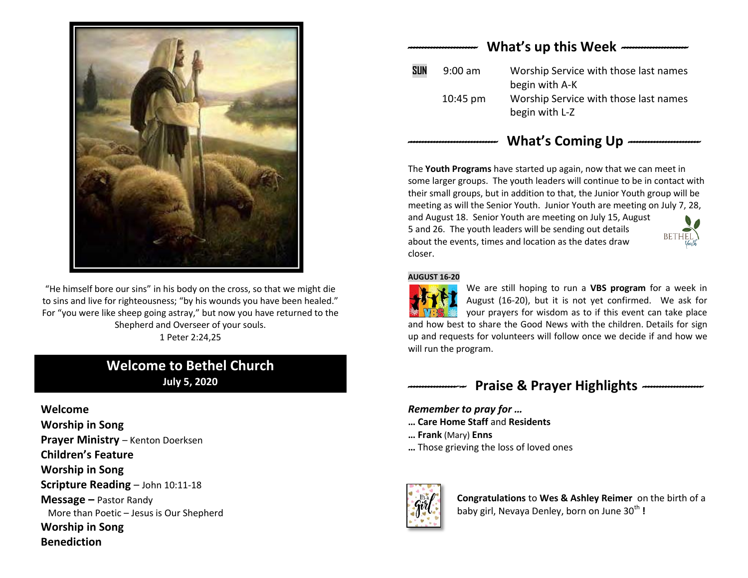

"He himself bore our sins" in his body on the cross, so that we might die to sins and live for righteousness; "by his wounds you have been healed." For "you were like sheep going astray," but now you have returned to the Shepherd and Overseer of your souls. 1 Peter 2:24,25

## **Welcome to Bethel Church July 5, 2020**

**Welcome Worship in Song Prayer Ministry - Kenton Doerksen Children's Feature Worship in Song Scripture Reading** – John 10:11-18 **Message –** Pastor Randy More than Poetic – Jesus is Our Shepherd **Worship in Song Benediction**

# *------------------------* **What's up this Week** *-----------------------*  **SUN** 9:00 am Worship Service with those last names begin with A-K 10:45 pm Worship Service with those last names begin with L-Z

### *-------------------------------* **What's Coming Up** *-------------------------*

The **Youth Programs** have started up again, now that we can meet in some larger groups. The youth leaders will continue to be in contact with their small groups, but in addition to that, the Junior Youth group will be meeting as will the Senior Youth. Junior Youth are meeting on July 7, 28, and August 18. Senior Youth are meeting on July 15, August 5 and 26. The youth leaders will be sending out details about the events, times and location as the dates draw closer.

#### **AUGUST 16-20**

We are still hoping to run a **VBS program** for a week in August (16-20), but it is not yet confirmed. We ask for your prayers for wisdom as to if this event can take place and how best to share the Good News with the children. Details for sign up and requests for volunteers will follow once we decide if and how we will run the program.

# *--------------------* **Praise & Prayer Highlights** *---------------------*

### *Remember to pray for …*

- **… Care Home Staff** and **Residents**
- **… Frank** (Mary) **Enns**
- **…** Those grieving the loss of loved ones



**Congratulations** to **Wes & Ashley Reimer** on the birth of a baby girl, Nevaya Denley, born on June 30<sup>th</sup> !